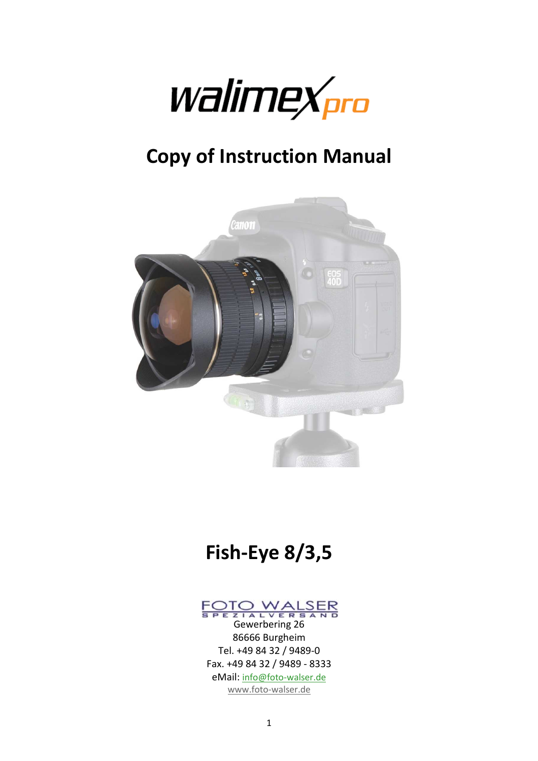

# **Copy of Instruction Manual**



# **Fish-Eye 8/3,5**

# FOTO WALSER<br>
Gewerbering 26

86666 Burgheim Tel. +49 84 32 / 9489-0 Fax. +49 84 32 / 9489 - 8333 eMail: info@foto-walser.de www.foto-walser.de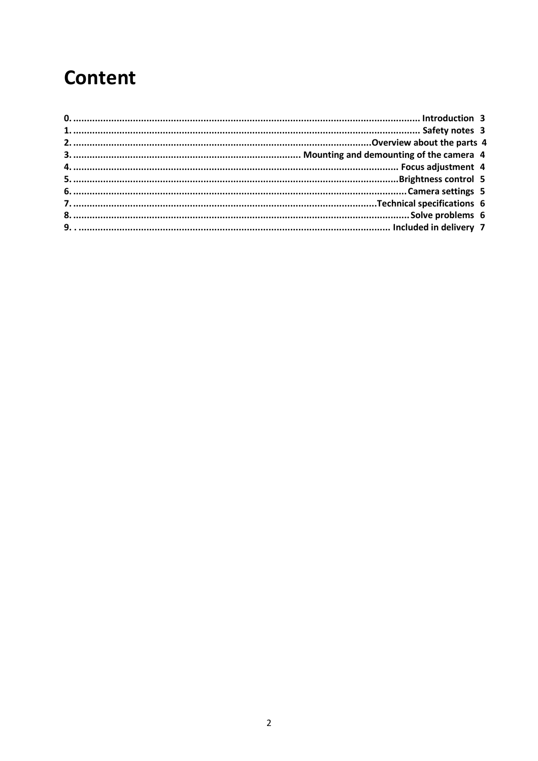## **Content**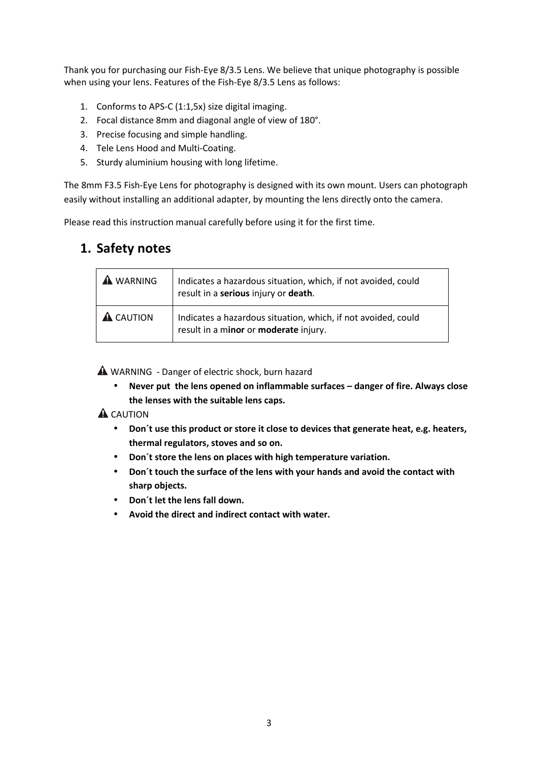Thank you for purchasing our Fish-Eye 8/3.5 Lens. We believe that unique photography is possible when using your lens. Features of the Fish-Eye 8/3.5 Lens as follows:

- 1. Conforms to APS-C (1:1,5x) size digital imaging.
- 2. Focal distance 8mm and diagonal angle of view of 180°.
- 3. Precise focusing and simple handling.
- 4. Tele Lens Hood and Multi-Coating.
- 5. Sturdy aluminium housing with long lifetime.

The 8mm F3.5 Fish-Eye Lens for photography is designed with its own mount. Users can photograph easily without installing an additional adapter, by mounting the lens directly onto the camera.

Please read this instruction manual carefully before using it for the first time.

#### **1. Safety notes**

| <b>WARNING</b>   | Indicates a hazardous situation, which, if not avoided, could<br>result in a serious injury or death.  |
|------------------|--------------------------------------------------------------------------------------------------------|
| <b>A</b> CAUTION | Indicates a hazardous situation, which, if not avoided, could<br>result in a minor or moderate injury. |

A WARNING - Danger of electric shock, burn hazard

• **Never put the lens opened on inflammable surfaces – danger of fire. Always close the lenses with the suitable lens caps.** 

#### A CAUTION

- **Don´t use this product or store it close to devices that generate heat, e.g. heaters, thermal regulators, stoves and so on.**
- **Don´t store the lens on places with high temperature variation.**
- **Don´t touch the surface of the lens with your hands and avoid the contact with sharp objects.**
- **Don´t let the lens fall down.**
- **Avoid the direct and indirect contact with water.**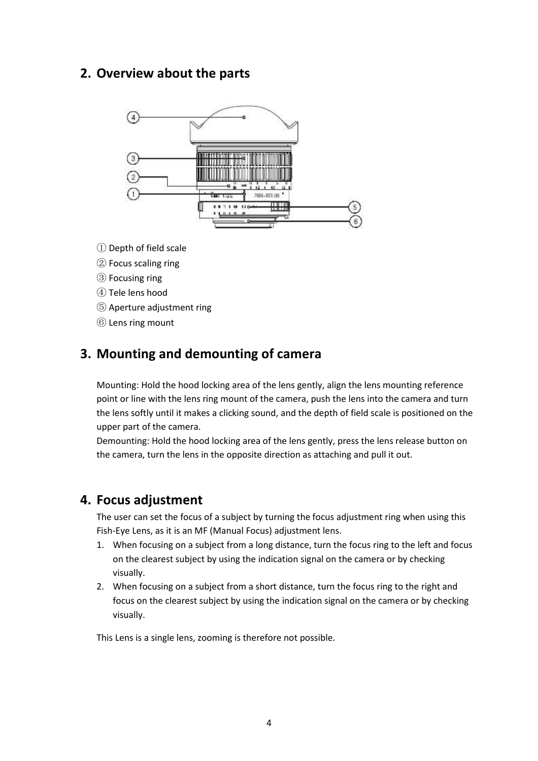#### **2. Overview about the parts**



- ① Depth of field scale
- ② Focus scaling ring
- ③ Focusing ring
- ④ Tele lens hood
- ⑤ Aperture adjustment ring
- ⑥ Lens ring mount

#### **3. Mounting and demounting of camera**

Mounting: Hold the hood locking area of the lens gently, align the lens mounting reference point or line with the lens ring mount of the camera, push the lens into the camera and turn the lens softly until it makes a clicking sound, and the depth of field scale is positioned on the upper part of the camera.

Demounting: Hold the hood locking area of the lens gently, press the lens release button on the camera, turn the lens in the opposite direction as attaching and pull it out.

#### **4. Focus adjustment**

The user can set the focus of a subject by turning the focus adjustment ring when using this Fish-Eye Lens, as it is an MF (Manual Focus) adjustment lens.

- 1. When focusing on a subject from a long distance, turn the focus ring to the left and focus on the clearest subject by using the indication signal on the camera or by checking visually.
- 2. When focusing on a subject from a short distance, turn the focus ring to the right and focus on the clearest subject by using the indication signal on the camera or by checking visually.

This Lens is a single lens, zooming is therefore not possible.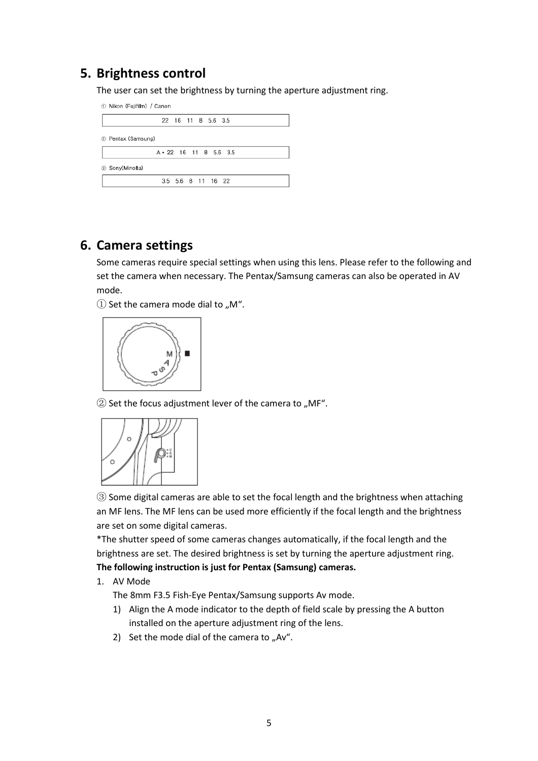#### **5. Brightness control**

The user can set the brightness by turning the aperture adjustment ring.

| 1 Nikon (Fujifilm) / Canon |                              |  |  |  |
|----------------------------|------------------------------|--|--|--|
|                            | 22 16 11 8 5.6 3.5           |  |  |  |
| 2 Pentax (Samsung)         |                              |  |  |  |
|                            | $A \cdot 22$ 16 11 8 5.6 3.5 |  |  |  |
| 3 Sony(Minolta)            |                              |  |  |  |
|                            | 3.5 5.6 8 11 16 22           |  |  |  |

#### **6. Camera settings**

Some cameras require special settings when using this lens. Please refer to the following and set the camera when necessary. The Pentax/Samsung cameras can also be operated in AV mode.

 $\Omega$  Set the camera mode dial to "M".



 $\textcircled{2}$  Set the focus adjustment lever of the camera to "MF".



③ Some digital cameras are able to set the focal length and the brightness when attaching an MF lens. The MF lens can be used more efficiently if the focal length and the brightness are set on some digital cameras.

\*The shutter speed of some cameras changes automatically, if the focal length and the brightness are set. The desired brightness is set by turning the aperture adjustment ring. **The following instruction is just for Pentax (Samsung) cameras.** 

1. AV Mode

The 8mm F3.5 Fish-Eye Pentax/Samsung supports Av mode.

- 1) Align the A mode indicator to the depth of field scale by pressing the A button installed on the aperture adjustment ring of the lens.
- 2) Set the mode dial of the camera to  $n^2$ .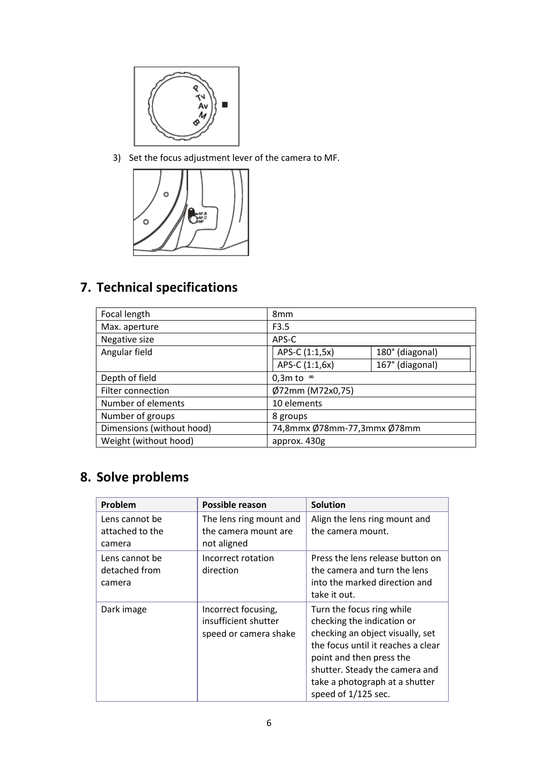

3) Set the focus adjustment lever of the camera to MF.



## **7. Technical specifications**

| Focal length              | 8 <sub>mm</sub>             |                 |
|---------------------------|-----------------------------|-----------------|
| Max. aperture             | F3.5                        |                 |
| Negative size             | APS-C                       |                 |
| Angular field             | APS-C (1:1,5x)              | 180° (diagonal) |
|                           | APS-C (1:1,6x)              | 167° (diagonal) |
| Depth of field            | 0,3m to $\infty$            |                 |
| Filter connection         | Ø72mm (M72x0,75)            |                 |
| Number of elements        | 10 elements                 |                 |
| Number of groups          | 8 groups                    |                 |
| Dimensions (without hood) | 74,8mmx Ø78mm-77,3mmx Ø78mm |                 |
| Weight (without hood)     | approx. 430g                |                 |

## **8. Solve problems**

| Problem                                     | Possible reason                                                      | <b>Solution</b>                                                                                                                                                                                                                                          |
|---------------------------------------------|----------------------------------------------------------------------|----------------------------------------------------------------------------------------------------------------------------------------------------------------------------------------------------------------------------------------------------------|
| Lens cannot be<br>attached to the<br>camera | The lens ring mount and<br>the camera mount are<br>not aligned       | Align the lens ring mount and<br>the camera mount.                                                                                                                                                                                                       |
| Lens cannot be<br>detached from<br>camera   | Incorrect rotation<br>direction                                      | Press the lens release button on<br>the camera and turn the lens<br>into the marked direction and<br>take it out.                                                                                                                                        |
| Dark image                                  | Incorrect focusing,<br>insufficient shutter<br>speed or camera shake | Turn the focus ring while<br>checking the indication or<br>checking an object visually, set<br>the focus until it reaches a clear<br>point and then press the<br>shutter. Steady the camera and<br>take a photograph at a shutter<br>speed of 1/125 sec. |